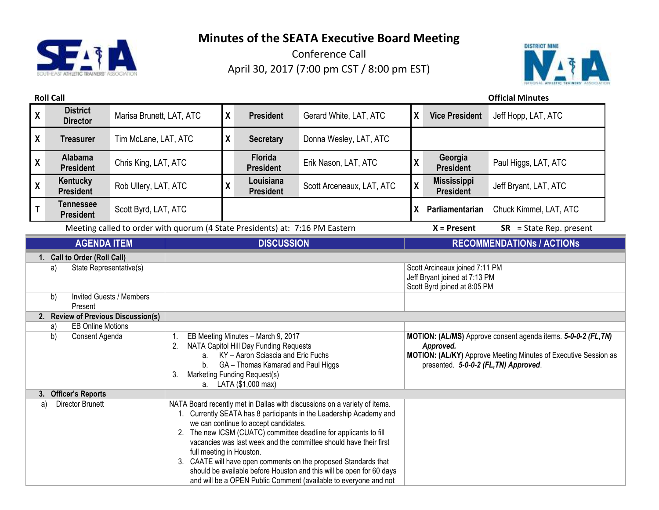



| <b>Roll Call</b>                                                                                                                                                                                                   |                                      |                          |                            |                                       |                                                                                                                                                                                                                                                                                                                                                                                                                                                                                                           |                           |                    |                                                                                                                                                       | <b>Official Minutes</b>                                                                                                           |  |
|--------------------------------------------------------------------------------------------------------------------------------------------------------------------------------------------------------------------|--------------------------------------|--------------------------|----------------------------|---------------------------------------|-----------------------------------------------------------------------------------------------------------------------------------------------------------------------------------------------------------------------------------------------------------------------------------------------------------------------------------------------------------------------------------------------------------------------------------------------------------------------------------------------------------|---------------------------|--------------------|-------------------------------------------------------------------------------------------------------------------------------------------------------|-----------------------------------------------------------------------------------------------------------------------------------|--|
| $\boldsymbol{\mathsf{X}}$                                                                                                                                                                                          | <b>District</b><br><b>Director</b>   | Marisa Brunett, LAT, ATC |                            | X                                     | <b>President</b>                                                                                                                                                                                                                                                                                                                                                                                                                                                                                          | Gerard White, LAT, ATC    | X                  | <b>Vice President</b>                                                                                                                                 | Jeff Hopp, LAT, ATC                                                                                                               |  |
| $\boldsymbol{\mathsf{X}}$                                                                                                                                                                                          | <b>Treasurer</b>                     | Tim McLane, LAT, ATC     |                            | X                                     | <b>Secretary</b>                                                                                                                                                                                                                                                                                                                                                                                                                                                                                          | Donna Wesley, LAT, ATC    |                    |                                                                                                                                                       |                                                                                                                                   |  |
| $\pmb{\mathsf{X}}$                                                                                                                                                                                                 | Alabama<br><b>President</b>          | Chris King, LAT, ATC     |                            |                                       | Florida<br><b>President</b>                                                                                                                                                                                                                                                                                                                                                                                                                                                                               | Erik Nason, LAT, ATC      | $\pmb{\mathsf{X}}$ | Georgia<br><b>President</b>                                                                                                                           | Paul Higgs, LAT, ATC                                                                                                              |  |
| $\pmb{\mathsf{X}}$                                                                                                                                                                                                 | Kentucky<br><b>President</b>         | Rob Ullery, LAT, ATC     |                            | χ                                     | Louisiana<br><b>President</b>                                                                                                                                                                                                                                                                                                                                                                                                                                                                             | Scott Arceneaux, LAT, ATC | χ                  | <b>Mississippi</b><br><b>President</b>                                                                                                                | Jeff Bryant, LAT, ATC                                                                                                             |  |
| $\mathsf T$                                                                                                                                                                                                        | <b>Tennessee</b><br><b>President</b> | Scott Byrd, LAT, ATC     |                            |                                       |                                                                                                                                                                                                                                                                                                                                                                                                                                                                                                           |                           | X                  | Parliamentarian                                                                                                                                       | Chuck Kimmel, LAT, ATC                                                                                                            |  |
|                                                                                                                                                                                                                    |                                      |                          |                            |                                       | Meeting called to order with quorum (4 State Presidents) at: 7:16 PM Eastern                                                                                                                                                                                                                                                                                                                                                                                                                              |                           |                    | $X =$ Present                                                                                                                                         | $SR = State Rep. present$                                                                                                         |  |
|                                                                                                                                                                                                                    | <b>AGENDA ITEM</b>                   |                          | <b>DISCUSSION</b>          |                                       |                                                                                                                                                                                                                                                                                                                                                                                                                                                                                                           |                           |                    |                                                                                                                                                       | <b>RECOMMENDATIONS / ACTIONS</b>                                                                                                  |  |
| 1. Call to Order (Roll Call)<br>State Representative(s)<br>a)<br>b)<br><b>Invited Guests / Members</b><br>Present<br>2. Review of Previous Discussion(s)<br><b>EB Online Motions</b><br>a)<br>b)<br>Consent Agenda |                                      |                          | 1.<br>2.<br>a.<br>b.<br>3. |                                       | EB Meeting Minutes - March 9, 2017<br>NATA Capitol Hill Day Funding Requests<br>KY - Aaron Sciascia and Eric Fuchs<br>GA - Thomas Kamarad and Paul Higgs<br>Marketing Funding Request(s)<br>a. LATA (\$1,000 max)                                                                                                                                                                                                                                                                                         |                           |                    | Scott Arcineaux joined 7:11 PM<br>Jeff Bryant joined at 7:13 PM<br>Scott Byrd joined at 8:05 PM<br>Approved.<br>presented. 5-0-0-2 (FL, TN) Approved. | MOTION: (AL/MS) Approve consent agenda items. 5-0-0-2 (FL, TN)<br>MOTION: (AL/KY) Approve Meeting Minutes of Executive Session as |  |
| 3. Officer's Reports<br><b>Director Brunett</b><br>a)                                                                                                                                                              |                                      | full meeting in Houston. |                            | we can continue to accept candidates. | NATA Board recently met in Dallas with discussions on a variety of items.<br>1. Currently SEATA has 8 participants in the Leadership Academy and<br>2. The new ICSM (CUATC) committee deadline for applicants to fill<br>vacancies was last week and the committee should have their first<br>3. CAATE will have open comments on the proposed Standards that<br>should be available before Houston and this will be open for 60 days<br>and will be a OPEN Public Comment (available to everyone and not |                           |                    |                                                                                                                                                       |                                                                                                                                   |  |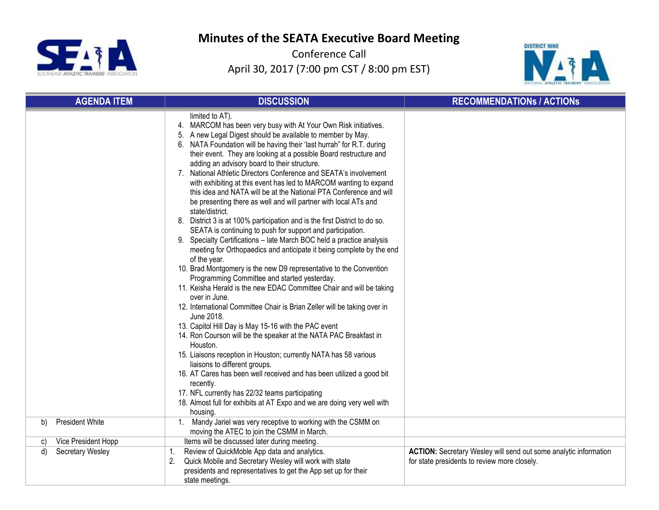



| <b>AGENDA ITEM</b>           | <b>DISCUSSION</b>                                                                                                                                                                                                                                                                                                                                                                                                                                                                                                                                                                                                                                                                                                                                                                                                                                                                                                                                                                                                                                                                                                                                                                                                                                                                                                                                                                                                                                                                                                                                                                                                                                                                                                                                       | <b>RECOMMENDATIONS / ACTIONS</b>                                                                                        |
|------------------------------|---------------------------------------------------------------------------------------------------------------------------------------------------------------------------------------------------------------------------------------------------------------------------------------------------------------------------------------------------------------------------------------------------------------------------------------------------------------------------------------------------------------------------------------------------------------------------------------------------------------------------------------------------------------------------------------------------------------------------------------------------------------------------------------------------------------------------------------------------------------------------------------------------------------------------------------------------------------------------------------------------------------------------------------------------------------------------------------------------------------------------------------------------------------------------------------------------------------------------------------------------------------------------------------------------------------------------------------------------------------------------------------------------------------------------------------------------------------------------------------------------------------------------------------------------------------------------------------------------------------------------------------------------------------------------------------------------------------------------------------------------------|-------------------------------------------------------------------------------------------------------------------------|
|                              | limited to AT).<br>4. MARCOM has been very busy with At Your Own Risk initiatives.<br>5. A new Legal Digest should be available to member by May.<br>6. NATA Foundation will be having their 'last hurrah" for R.T. during<br>their event. They are looking at a possible Board restructure and<br>adding an advisory board to their structure.<br>7. National Athletic Directors Conference and SEATA's involvement<br>with exhibiting at this event has led to MARCOM wanting to expand<br>this idea and NATA will be at the National PTA Conference and will<br>be presenting there as well and will partner with local ATs and<br>state/district.<br>8. District 3 is at 100% participation and is the first District to do so.<br>SEATA is continuing to push for support and participation.<br>9. Specialty Certifications - late March BOC held a practice analysis<br>meeting for Orthopaedics and anticipate it being complete by the end<br>of the year.<br>10. Brad Montgomery is the new D9 representative to the Convention<br>Programming Committee and started yesterday.<br>11. Keisha Herald is the new EDAC Committee Chair and will be taking<br>over in June.<br>12. International Committee Chair is Brian Zeller will be taking over in<br>June 2018.<br>13. Capitol Hill Day is May 15-16 with the PAC event<br>14. Ron Courson will be the speaker at the NATA PAC Breakfast in<br>Houston.<br>15. Liaisons reception in Houston; currently NATA has 58 various<br>liaisons to different groups.<br>16. AT Cares has been well received and has been utilized a good bit<br>recently.<br>17. NFL currently has 22/32 teams participating<br>18. Almost full for exhibits at AT Expo and we are doing very well with<br>housing. |                                                                                                                         |
| <b>President White</b><br>b) | 1. Mandy Jariel was very receptive to working with the CSMM on<br>moving the ATEC to join the CSMM in March.                                                                                                                                                                                                                                                                                                                                                                                                                                                                                                                                                                                                                                                                                                                                                                                                                                                                                                                                                                                                                                                                                                                                                                                                                                                                                                                                                                                                                                                                                                                                                                                                                                            |                                                                                                                         |
| Vice President Hopp<br>C)    | Items will be discussed later during meeting.                                                                                                                                                                                                                                                                                                                                                                                                                                                                                                                                                                                                                                                                                                                                                                                                                                                                                                                                                                                                                                                                                                                                                                                                                                                                                                                                                                                                                                                                                                                                                                                                                                                                                                           |                                                                                                                         |
| Secretary Wesley<br>d)       | Review of QuickMoble App data and analytics.<br>1.<br>Quick Mobile and Secretary Wesley will work with state<br>2.<br>presidents and representatives to get the App set up for their<br>state meetings.                                                                                                                                                                                                                                                                                                                                                                                                                                                                                                                                                                                                                                                                                                                                                                                                                                                                                                                                                                                                                                                                                                                                                                                                                                                                                                                                                                                                                                                                                                                                                 | <b>ACTION:</b> Secretary Wesley will send out some analytic information<br>for state presidents to review more closely. |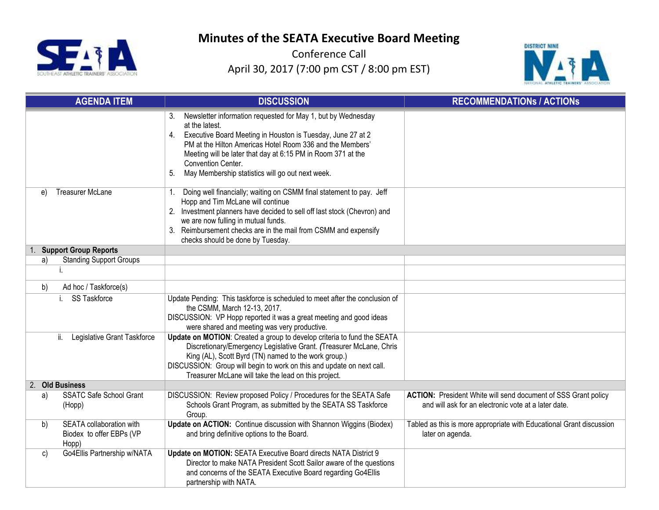



|    | <b>AGENDA ITEM</b>                                            | <b>DISCUSSION</b>                                                                                                                                                                                                                                                                                                                                                      | <b>RECOMMENDATIONS / ACTIONS</b>                                                                                              |
|----|---------------------------------------------------------------|------------------------------------------------------------------------------------------------------------------------------------------------------------------------------------------------------------------------------------------------------------------------------------------------------------------------------------------------------------------------|-------------------------------------------------------------------------------------------------------------------------------|
|    |                                                               | Newsletter information requested for May 1, but by Wednesday<br>3.<br>at the latest.<br>Executive Board Meeting in Houston is Tuesday, June 27 at 2<br>4.<br>PM at the Hilton Americas Hotel Room 336 and the Members'<br>Meeting will be later that day at 6:15 PM in Room 371 at the<br>Convention Center.<br>May Membership statistics will go out next week.<br>5. |                                                                                                                               |
| e) | <b>Treasurer McLane</b>                                       | Doing well financially; waiting on CSMM final statement to pay. Jeff<br>1.<br>Hopp and Tim McLane will continue<br>2. Investment planners have decided to sell off last stock (Chevron) and<br>we are now fulling in mutual funds.<br>3. Reimbursement checks are in the mail from CSMM and expensify<br>checks should be done by Tuesday.                             |                                                                                                                               |
|    | <b>Support Group Reports</b>                                  |                                                                                                                                                                                                                                                                                                                                                                        |                                                                                                                               |
| a) | <b>Standing Support Groups</b>                                |                                                                                                                                                                                                                                                                                                                                                                        |                                                                                                                               |
|    |                                                               |                                                                                                                                                                                                                                                                                                                                                                        |                                                                                                                               |
| b) | Ad hoc / Taskforce(s)                                         |                                                                                                                                                                                                                                                                                                                                                                        |                                                                                                                               |
|    | SS Taskforce                                                  | Update Pending: This taskforce is scheduled to meet after the conclusion of<br>the CSMM, March 12-13, 2017.<br>DISCUSSION: VP Hopp reported it was a great meeting and good ideas<br>were shared and meeting was very productive.                                                                                                                                      |                                                                                                                               |
|    | ii.<br>Legislative Grant Taskforce                            | Update on MOTION: Created a group to develop criteria to fund the SEATA<br>Discretionary/Emergency Legislative Grant. (Treasurer McLane, Chris<br>King (AL), Scott Byrd (TN) named to the work group.)<br>DISCUSSION: Group will begin to work on this and update on next call.<br>Treasurer McLane will take the lead on this project.                                |                                                                                                                               |
|    | 2. Old Business                                               |                                                                                                                                                                                                                                                                                                                                                                        |                                                                                                                               |
| a) | <b>SSATC Safe School Grant</b><br>(Hopp)                      | DISCUSSION: Review proposed Policy / Procedures for the SEATA Safe<br>Schools Grant Program, as submitted by the SEATA SS Taskforce<br>Group.                                                                                                                                                                                                                          | <b>ACTION:</b> President White will send document of SSS Grant policy<br>and will ask for an electronic vote at a later date. |
| b) | SEATA collaboration with<br>Biodex to offer EBPs (VP<br>Hopp) | Update on ACTION: Continue discussion with Shannon Wiggins (Biodex)<br>and bring definitive options to the Board.                                                                                                                                                                                                                                                      | Tabled as this is more appropriate with Educational Grant discussion<br>later on agenda.                                      |
| c) | Go4Ellis Partnership w/NATA                                   | Update on MOTION: SEATA Executive Board directs NATA District 9<br>Director to make NATA President Scott Sailor aware of the questions<br>and concerns of the SEATA Executive Board regarding Go4Ellis<br>partnership with NATA.                                                                                                                                       |                                                                                                                               |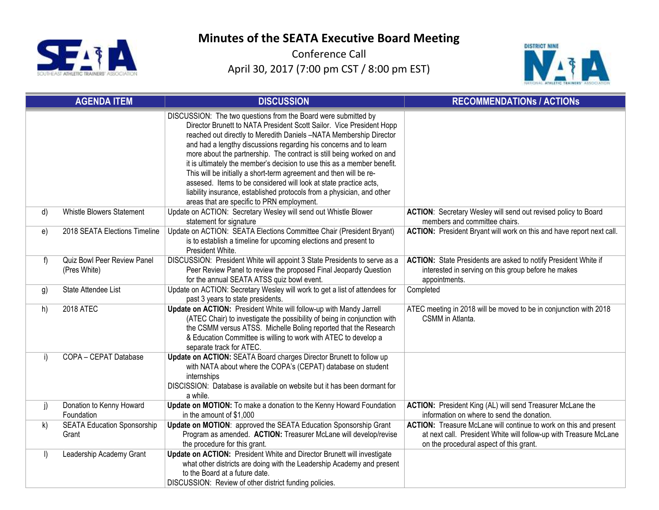



|         | <b>AGENDA ITEM</b>                          | <b>DISCUSSION</b>                                                                                                                                                                                                                                                                                                                                                                                                                                                                                                                                                                                                                                                                                        | <b>RECOMMENDATIONS / ACTIONS</b>                                                                                                                                                  |
|---------|---------------------------------------------|----------------------------------------------------------------------------------------------------------------------------------------------------------------------------------------------------------------------------------------------------------------------------------------------------------------------------------------------------------------------------------------------------------------------------------------------------------------------------------------------------------------------------------------------------------------------------------------------------------------------------------------------------------------------------------------------------------|-----------------------------------------------------------------------------------------------------------------------------------------------------------------------------------|
|         |                                             | DISCUSSION: The two questions from the Board were submitted by<br>Director Brunett to NATA President Scott Sailor. Vice President Hopp<br>reached out directly to Meredith Daniels -NATA Membership Director<br>and had a lengthy discussions regarding his concerns and to learn<br>more about the partnership. The contract is still being worked on and<br>it is ultimately the member's decision to use this as a member benefit.<br>This will be initially a short-term agreement and then will be re-<br>assesed. Items to be considered will look at state practice acts,<br>liability insurance, established protocols from a physician, and other<br>areas that are specific to PRN employment. |                                                                                                                                                                                   |
| d)      | <b>Whistle Blowers Statement</b>            | Update on ACTION: Secretary Wesley will send out Whistle Blower<br>statement for signature                                                                                                                                                                                                                                                                                                                                                                                                                                                                                                                                                                                                               | ACTION: Secretary Wesley will send out revised policy to Board<br>members and committee chairs.                                                                                   |
| e)      | 2018 SEATA Elections Timeline               | Update on ACTION: SEATA Elections Committee Chair (President Bryant)<br>is to establish a timeline for upcoming elections and present to<br>President White.                                                                                                                                                                                                                                                                                                                                                                                                                                                                                                                                             | ACTION: President Bryant will work on this and have report next call.                                                                                                             |
| f       | Quiz Bowl Peer Review Panel<br>(Pres White) | DISCUSSION: President White will appoint 3 State Presidents to serve as a<br>Peer Review Panel to review the proposed Final Jeopardy Question<br>for the annual SEATA ATSS quiz bowl event.                                                                                                                                                                                                                                                                                                                                                                                                                                                                                                              | ACTION: State Presidents are asked to notify President White if<br>interested in serving on this group before he makes<br>appointments.                                           |
| g)      | State Attendee List                         | Update on ACTION: Secretary Wesley will work to get a list of attendees for<br>past 3 years to state presidents.                                                                                                                                                                                                                                                                                                                                                                                                                                                                                                                                                                                         | Completed                                                                                                                                                                         |
| h)      | <b>2018 ATEC</b>                            | Update on ACTION: President White will follow-up with Mandy Jarrell<br>(ATEC Chair) to investigate the possibility of being in conjunction with<br>the CSMM versus ATSS. Michelle Boling reported that the Research<br>& Education Committee is willing to work with ATEC to develop a<br>separate track for ATEC.                                                                                                                                                                                                                                                                                                                                                                                       | ATEC meeting in 2018 will be moved to be in conjunction with 2018<br>CSMM in Atlanta.                                                                                             |
| i)      | COPA - CEPAT Database                       | Update on ACTION: SEATA Board charges Director Brunett to follow up<br>with NATA about where the COPA's (CEPAT) database on student<br>internships<br>DISCISSION: Database is available on website but it has been dormant for<br>a while.                                                                                                                                                                                                                                                                                                                                                                                                                                                               |                                                                                                                                                                                   |
| j)      | Donation to Kenny Howard<br>Foundation      | Update on MOTION: To make a donation to the Kenny Howard Foundation<br>in the amount of \$1,000                                                                                                                                                                                                                                                                                                                                                                                                                                                                                                                                                                                                          | ACTION: President King (AL) will send Treasurer McLane the<br>information on where to send the donation.                                                                          |
| k)      | <b>SEATA Education Sponsorship</b><br>Grant | Update on MOTION: approved the SEATA Education Sponsorship Grant<br>Program as amended. ACTION: Treasurer McLane will develop/revise<br>the procedure for this grant.                                                                                                                                                                                                                                                                                                                                                                                                                                                                                                                                    | ACTION: Treasure McLane will continue to work on this and present<br>at next call. President White will follow-up with Treasure McLane<br>on the procedural aspect of this grant. |
| $\vert$ | Leadership Academy Grant                    | Update on ACTION: President White and Director Brunett will investigate<br>what other districts are doing with the Leadership Academy and present<br>to the Board at a future date.<br>DISCUSSION: Review of other district funding policies.                                                                                                                                                                                                                                                                                                                                                                                                                                                            |                                                                                                                                                                                   |